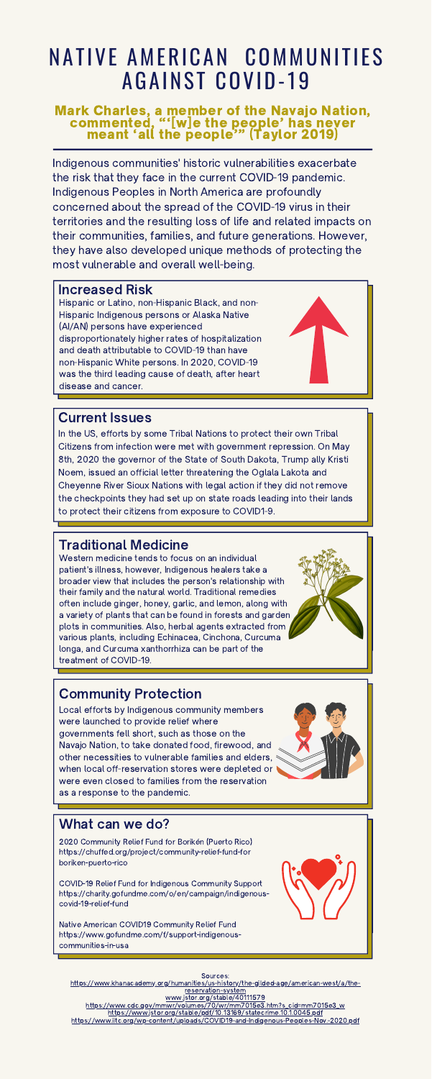# NATIVE AMERICAN COMMUNITIES **AGAINST COVID-19**

#### Mark Charles, a member of the Navajo Nation, commented, "'[w]e the people' has never meant 'all the people'" (Taylor 2019)

Indigenous communities' historic vulnerabilities exacerbate the risk that they face in the current COVID-19 pandemic. Indigenous Peoples in North America are profoundly concerned about the spread of the COVID-19 virus in their territories and the resulting loss of life and related impacts on their communities, families, and future generations. However, they have also developed unique methods of protecting the most vulnerable and overall well-being.

2020 Community Relief Fund for Borikén (Puerto Rico) https://chuffed.org/project/community-relief-fund-for boriken-puerto-rico

COVID-19 Relief Fund for Indigenous Community Support https://charity.gofundme.com/o/en/campaign/indigenous covid-19-relief-fund

Native American COVID19 Community Relief Fund https://www.gofundme.com/f/support-indigenous communities-in-usa



In the US, efforts by some Tribal Nations to protect their own Tribal Citizens from infection were met with government repression. On May 8th, 2020 the governor of the State of South Dakota, Trump ally Kristi Noem, issued an official letter threatening the Oglala Lakota and Cheyenne River Sioux Nations with legal action if they did not remove the checkpoints they had set up on state roads leading into their lands to protect their citizens from exposure to COVID1-9.

Sources: [https://www.khanacademy.org/humanities/us-history/the-gilded-age/american-west/a/the](https://www.khanacademy.org/humanities/us-history/the-gilded-age/american-west/a/the-reservation-system)reservation-system www.jstor.org/stable/40111579 [https://www.cdc.gov/mmwr/volumes/70/wr/mm7015e3.htm?s\\_cid=mm7015e3\\_w](https://www.google.com/url?q=https://www.cdc.gov/mmwr/volumes/70/wr/mm7015e3.htm?s_cid%3Dmm7015e3_w&sa=D&source=editors&ust=1620786154632000&usg=AOvVaw19oC-oWm_IP41iGiDDZx7Y) [https://www.jstor.org/stable/pdf/10.13169/statecrime.10.1.0045.pdf](https://www.google.com/url?q=https://www.jstor.org/stable/pdf/10.13169/statecrime.10.1.0045.pdf&sa=D&source=editors&ust=1620786154642000&usg=AOvVaw0MFFBBG_M7BLgRwUTWczvH) [https://www.iitc.org/wp-content/uploads/COVID19-and-Indigenous-Peoples-Nov.-2020.pdf](https://www.google.com/url?q=https://www.iitc.org/wp-content/uploads/COVID19-and-Indigenous-Peoples-Nov.-2020.pdf&sa=D&source=editors&ust=1620786154636000&usg=AOvVaw0xFmlzAMB9c9MOEdXPw4v0)

#### Current Issues

## What can we do?

# Traditional Medicine

Western medicine tends to focus on an individual patient's illness, however, Indigenous healers take a broader view that includes the person's relationship with their family and the natural world. Traditional remedies often include ginger, honey, garlic, and lemon, along with a variety of plants that can be found in forests and garden plots in communities. Also, herbal agents extracted from various plants, including Echinacea, Cinchona, Curcuma longa, and Curcuma xanthorrhiza can be part of the treatment of COVID-19.

#### Increased Risk

Hispanic or Latino, non-Hispanic Black, and non-Hispanic Indigenous persons or Alaska Native (AI/AN) persons have experienced disproportionately higher rates of hospitalization and death attributable to COVID-19 than have non-Hispanic White persons. In 2020, COVID-19 was the third leading cause of death, after heart disease and cancer.

#### Community Protection

Local efforts by Indigenous community members were launched to provide relief where governments fell short, such as those on the Navajo Nation, to take donated food, firewood, and other necessities to vulnerable families and elders, when local off-reservation stores were depleted or were even closed to families from the reservation as a response to the pandemic.